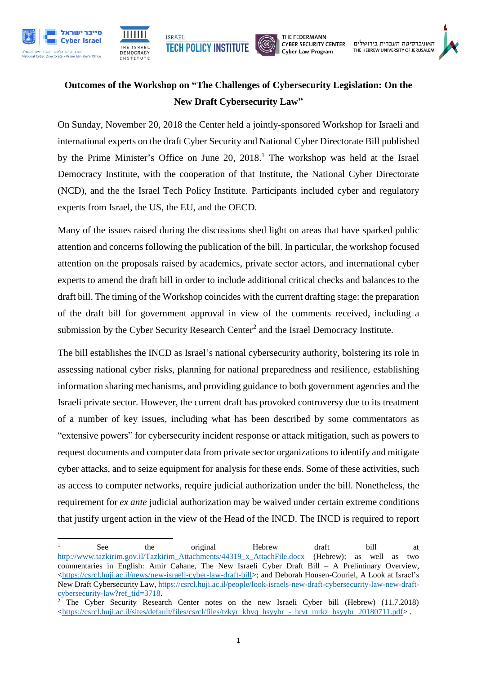



THE FEDERMANN **CYBER SECURITY CENTER** Cyber Law Program

## **Outcomes of the Workshop on "The Challenges of Cybersecurity Legislation: On the New Draft Cybersecurity Law"**

On Sunday, November 20, 2018 the Center held a jointly-sponsored Workshop for Israeli and international experts on the draft Cyber Security and National Cyber Directorate Bill published by the Prime Minister's Office on June 20, 2018. <sup>1</sup> The workshop was held at the Israel Democracy Institute, with the cooperation of that Institute, the National Cyber Directorate (NCD), and the the Israel Tech Policy Institute. Participants included cyber and regulatory experts from Israel, the US, the EU, and the OECD.

Many of the issues raised during the discussions shed light on areas that have sparked public attention and concerns following the publication of the bill. In particular, the workshop focused attention on the proposals raised by academics, private sector actors, and international cyber experts to amend the draft bill in order to include additional critical checks and balances to the draft bill. The timing of the Workshop coincides with the current drafting stage: the preparation of the draft bill for government approval in view of the comments received, including a submission by the Cyber Security Research Center<sup>2</sup> and the Israel Democracy Institute.

The bill establishes the INCD as Israel's national cybersecurity authority, bolstering its role in assessing national cyber risks, planning for national preparedness and resilience, establishing information sharing mechanisms, and providing guidance to both government agencies and the Israeli private sector. However, the current draft has provoked controversy due to its treatment of a number of key issues, including what has been described by some commentators as "extensive powers" for cybersecurity incident response or attack mitigation, such as powers to request documents and computer data from private sector organizations to identify and mitigate cyber attacks, and to seize equipment for analysis for these ends. Some of these activities, such as access to computer networks, require judicial authorization under the bill. Nonetheless, the requirement for *ex ante* judicial authorization may be waived under certain extreme conditions that justify urgent action in the view of the Head of the INCD. The INCD is required to report

 $\mathbf{1}$ <sup>1</sup> See the original Hebrew draft bill at [http://www.tazkirim.gov.il/Tazkirim\\_Attachments/44319\\_x\\_AttachFile.docx](http://www.tazkirim.gov.il/Tazkirim_Attachments/44319_x_AttachFile.docx) (Hebrew); as well as two commentaries in English: Amir Cahane, The New Israeli Cyber Draft Bill – A Preliminary Overview, [<https://csrcl.huji.ac.il/news/new-israeli-cyber-law-draft-bill>](https://csrcl.huji.ac.il/news/new-israeli-cyber-law-draft-bill); and Deborah Housen-Couriel, A Look at Israel's New Draft Cybersecurity Law[, https://csrcl.huji.ac.il/people/look-israels-new-draft-cybersecurity-law-new-draft](https://csrcl.huji.ac.il/people/look-israels-new-draft-cybersecurity-law-new-draft-cybersecurity-law?ref_tid=3718)[cybersecurity-law?ref\\_tid=3718.](https://csrcl.huji.ac.il/people/look-israels-new-draft-cybersecurity-law-new-draft-cybersecurity-law?ref_tid=3718)

<sup>&</sup>lt;sup>2</sup> The Cyber Security Research Center notes on the new Israeli Cyber bill (Hebrew)  $(11.7.2018)$  $\langle$ https://csrcl.huji.ac.il/sites/default/files/csrcl/files/tzkyr\_khvq\_hsyybr\_-\_hrvt\_mrkz\_hsyybr\_20180711.pdf>.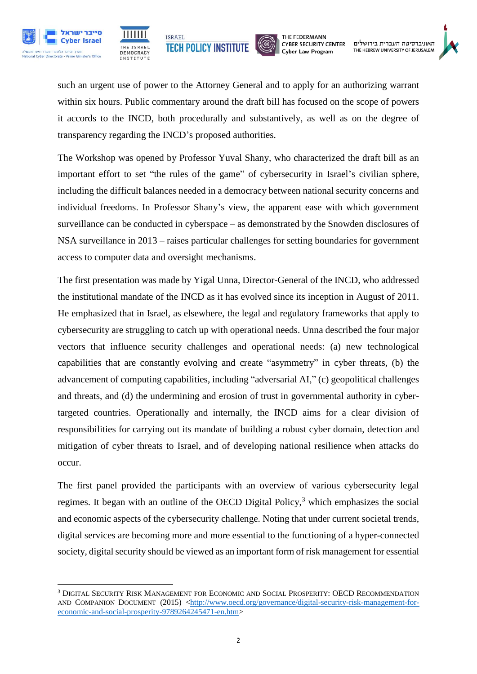





THE FEDERMANN **CYBER SECURITY CENTER** Cyber Law Program



such an urgent use of power to the Attorney General and to apply for an authorizing warrant within six hours. Public commentary around the draft bill has focused on the scope of powers it accords to the INCD, both procedurally and substantively, as well as on the degree of transparency regarding the INCD's proposed authorities.

The Workshop was opened by Professor Yuval Shany, who characterized the draft bill as an important effort to set "the rules of the game" of cybersecurity in Israel's civilian sphere, including the difficult balances needed in a democracy between national security concerns and individual freedoms. In Professor Shany's view, the apparent ease with which government surveillance can be conducted in cyberspace – as demonstrated by the Snowden disclosures of NSA surveillance in 2013 – raises particular challenges for setting boundaries for government access to computer data and oversight mechanisms.

The first presentation was made by Yigal Unna, Director-General of the INCD, who addressed the institutional mandate of the INCD as it has evolved since its inception in August of 2011. He emphasized that in Israel, as elsewhere, the legal and regulatory frameworks that apply to cybersecurity are struggling to catch up with operational needs. Unna described the four major vectors that influence security challenges and operational needs: (a) new technological capabilities that are constantly evolving and create "asymmetry" in cyber threats, (b) the advancement of computing capabilities, including "adversarial AI," (c) geopolitical challenges and threats, and (d) the undermining and erosion of trust in governmental authority in cybertargeted countries. Operationally and internally, the INCD aims for a clear division of responsibilities for carrying out its mandate of building a robust cyber domain, detection and mitigation of cyber threats to Israel, and of developing national resilience when attacks do occur.

The first panel provided the participants with an overview of various cybersecurity legal regimes. It began with an outline of the OECD Digital Policy, $3$  which emphasizes the social and economic aspects of the cybersecurity challenge. Noting that under current societal trends, digital services are becoming more and more essential to the functioning of a hyper-connected society, digital security should be viewed as an important form of risk management for essential

<sup>1</sup> <sup>3</sup> DIGITAL SECURITY RISK MANAGEMENT FOR ECONOMIC AND SOCIAL PROSPERITY: OECD RECOMMENDATION AND COMPANION DOCUMENT (2015) [<http://www.oecd.org/governance/digital-security-risk-management-for](http://www.oecd.org/governance/digital-security-risk-management-for-economic-and-social-prosperity-9789264245471-en.htm)[economic-and-social-prosperity-9789264245471-en.htm>](http://www.oecd.org/governance/digital-security-risk-management-for-economic-and-social-prosperity-9789264245471-en.htm)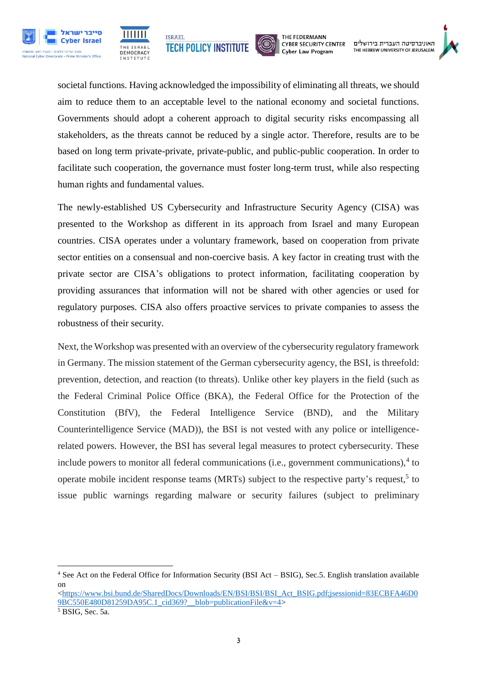







האוניברסיטה העברית בירושלים THE HEBREW UNIVERSITY OF JERUSALEM

societal functions. Having acknowledged the impossibility of eliminating all threats, we should aim to reduce them to an acceptable level to the national economy and societal functions. Governments should adopt a coherent approach to digital security risks encompassing all stakeholders, as the threats cannot be reduced by a single actor. Therefore, results are to be based on long term private-private, private-public, and public-public cooperation. In order to facilitate such cooperation, the governance must foster long-term trust, while also respecting human rights and fundamental values.

The newly-established US Cybersecurity and Infrastructure Security Agency (CISA) was presented to the Workshop as different in its approach from Israel and many European countries. CISA operates under a voluntary framework, based on cooperation from private sector entities on a consensual and non-coercive basis. A key factor in creating trust with the private sector are CISA's obligations to protect information, facilitating cooperation by providing assurances that information will not be shared with other agencies or used for regulatory purposes. CISA also offers proactive services to private companies to assess the robustness of their security.

Next, the Workshop was presented with an overview of the cybersecurity regulatory framework in Germany. The mission statement of the German cybersecurity agency, the BSI, is threefold: prevention, detection, and reaction (to threats). Unlike other key players in the field (such as the Federal Criminal Police Office (BKA), the Federal Office for the Protection of the Constitution (BfV), the Federal Intelligence Service (BND), and the Military Counterintelligence Service (MAD)), the BSI is not vested with any police or intelligencerelated powers. However, the BSI has several legal measures to protect cybersecurity. These include powers to monitor all federal communications (i.e., government communications), $4$  to operate mobile incident response teams (MRTs) subject to the respective party's request,<sup>5</sup> to issue public warnings regarding malware or security failures (subject to preliminary

**.** 

<sup>4</sup> See Act on the Federal Office for Information Security (BSI Act – BSIG), Sec.5. English translation available on

[<sup>&</sup>lt;https://www.bsi.bund.de/SharedDocs/Downloads/EN/BSI/BSI/BSI\\_Act\\_BSIG.pdf;jsessionid=83ECBFA46D0](https://www.bsi.bund.de/SharedDocs/Downloads/EN/BSI/BSI/BSI_Act_BSIG.pdf;jsessionid=83ECBFA46D09BC550E480D81259DA95C.1_cid369?__blob=publicationFile&v=4)  $9BCS50F480D81259DA95C.1$  cid369? blob=publicationFile&v=4>

 $5$  BSIG, Sec. 5a.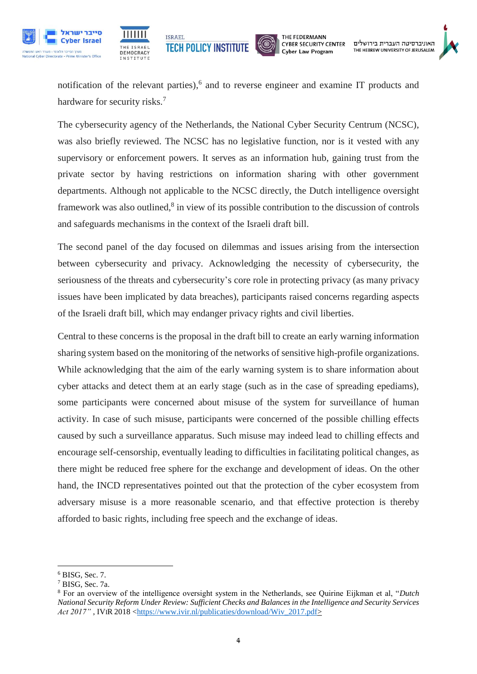





notification of the relevant parties), 6 and to reverse engineer and examine IT products and hardware for security risks.<sup>7</sup>

The cybersecurity agency of the Netherlands, the National Cyber Security Centrum (NCSC), was also briefly reviewed. The NCSC has no legislative function, nor is it vested with any supervisory or enforcement powers. It serves as an information hub, gaining trust from the private sector by having restrictions on information sharing with other government departments. Although not applicable to the NCSC directly, the Dutch intelligence oversight framework was also outlined,<sup>8</sup> in view of its possible contribution to the discussion of controls and safeguards mechanisms in the context of the Israeli draft bill.

The second panel of the day focused on dilemmas and issues arising from the intersection between cybersecurity and privacy. Acknowledging the necessity of cybersecurity, the seriousness of the threats and cybersecurity's core role in protecting privacy (as many privacy issues have been implicated by data breaches), participants raised concerns regarding aspects of the Israeli draft bill, which may endanger privacy rights and civil liberties.

Central to these concerns is the proposal in the draft bill to create an early warning information sharing system based on the monitoring of the networks of sensitive high-profile organizations. While acknowledging that the aim of the early warning system is to share information about cyber attacks and detect them at an early stage (such as in the case of spreading epediams), some participants were concerned about misuse of the system for surveillance of human activity. In case of such misuse, participants were concerned of the possible chilling effects caused by such a surveillance apparatus. Such misuse may indeed lead to chilling effects and encourage self-censorship, eventually leading to difficulties in facilitating political changes, as there might be reduced free sphere for the exchange and development of ideas. On the other hand, the INCD representatives pointed out that the protection of the cyber ecosystem from adversary misuse is a more reasonable scenario, and that effective protection is thereby afforded to basic rights, including free speech and the exchange of ideas.

**<sup>.</sup>** <sup>6</sup> BISG, Sec. 7.

<sup>7</sup> BISG, Sec. 7a.

<sup>8</sup> For an overview of the intelligence oversight system in the Netherlands, see Quirine Eijkman et al, "*Dutch National Security Reform Under Review: Sufficient Checks and Balances in the Intelligence and Security Services Act 2017"*, IVIR 2018 [<https://www.ivir.nl/publicaties/download/Wiv\\_2017.pdf>](https://www.ivir.nl/publicaties/download/Wiv_2017.pdf)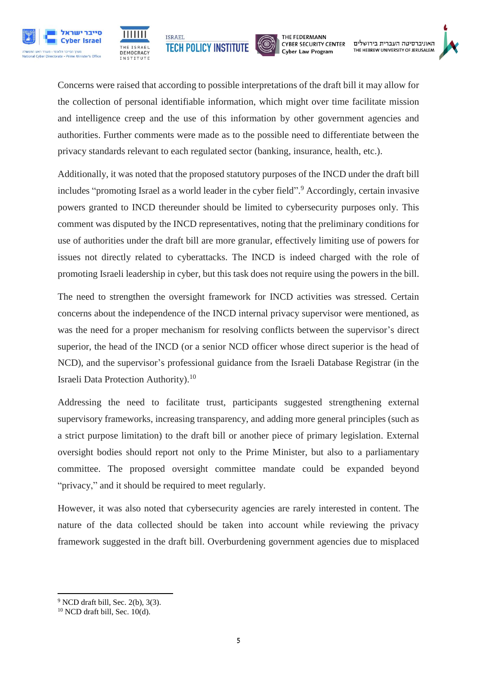





האוניברסיטה העברית בירושלים THE HEBREW UNIVERSITY OF JERUSALEM

Concerns were raised that according to possible interpretations of the draft bill it may allow for the collection of personal identifiable information, which might over time facilitate mission and intelligence creep and the use of this information by other government agencies and authorities. Further comments were made as to the possible need to differentiate between the privacy standards relevant to each regulated sector (banking, insurance, health, etc.).

Additionally, it was noted that the proposed statutory purposes of the INCD under the draft bill includes "promoting Israel as a world leader in the cyber field". <sup>9</sup> Accordingly, certain invasive powers granted to INCD thereunder should be limited to cybersecurity purposes only. This comment was disputed by the INCD representatives, noting that the preliminary conditions for use of authorities under the draft bill are more granular, effectively limiting use of powers for issues not directly related to cyberattacks. The INCD is indeed charged with the role of promoting Israeli leadership in cyber, but this task does not require using the powers in the bill.

The need to strengthen the oversight framework for INCD activities was stressed. Certain concerns about the independence of the INCD internal privacy supervisor were mentioned, as was the need for a proper mechanism for resolving conflicts between the supervisor's direct superior, the head of the INCD (or a senior NCD officer whose direct superior is the head of NCD), and the supervisor's professional guidance from the Israeli Database Registrar (in the Israeli Data Protection Authority).<sup>10</sup>

Addressing the need to facilitate trust, participants suggested strengthening external supervisory frameworks, increasing transparency, and adding more general principles (such as a strict purpose limitation) to the draft bill or another piece of primary legislation. External oversight bodies should report not only to the Prime Minister, but also to a parliamentary committee. The proposed oversight committee mandate could be expanded beyond "privacy," and it should be required to meet regularly.

However, it was also noted that cybersecurity agencies are rarely interested in content. The nature of the data collected should be taken into account while reviewing the privacy framework suggested in the draft bill. Overburdening government agencies due to misplaced

**<sup>.</sup>**  $9$  NCD draft bill, Sec. 2(b), 3(3).

 $10$  NCD draft bill, Sec.  $10(d)$ .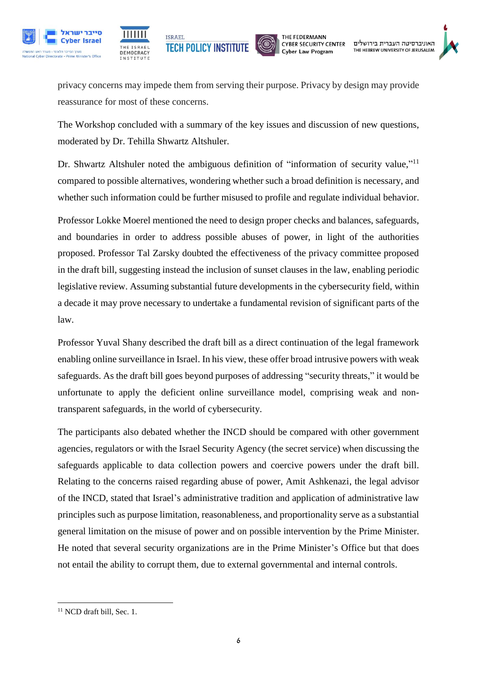





האוניברסיטה העברית בירושלים THE HEBREW UNIVERSITY OF JERUSALEM

privacy concerns may impede them from serving their purpose. Privacy by design may provide reassurance for most of these concerns.

The Workshop concluded with a summary of the key issues and discussion of new questions, moderated by Dr. Tehilla Shwartz Altshuler.

Dr. Shwartz Altshuler noted the ambiguous definition of "information of security value,"<sup>11</sup> compared to possible alternatives, wondering whether such a broad definition is necessary, and whether such information could be further misused to profile and regulate individual behavior.

Professor Lokke Moerel mentioned the need to design proper checks and balances, safeguards, and boundaries in order to address possible abuses of power, in light of the authorities proposed. Professor Tal Zarsky doubted the effectiveness of the privacy committee proposed in the draft bill, suggesting instead the inclusion of sunset clauses in the law, enabling periodic legislative review. Assuming substantial future developments in the cybersecurity field, within a decade it may prove necessary to undertake a fundamental revision of significant parts of the law.

Professor Yuval Shany described the draft bill as a direct continuation of the legal framework enabling online surveillance in Israel. In his view, these offer broad intrusive powers with weak safeguards. As the draft bill goes beyond purposes of addressing "security threats," it would be unfortunate to apply the deficient online surveillance model, comprising weak and nontransparent safeguards, in the world of cybersecurity.

The participants also debated whether the INCD should be compared with other government agencies, regulators or with the Israel Security Agency (the secret service) when discussing the safeguards applicable to data collection powers and coercive powers under the draft bill. Relating to the concerns raised regarding abuse of power, Amit Ashkenazi, the legal advisor of the INCD, stated that Israel's administrative tradition and application of administrative law principles such as purpose limitation, reasonableness, and proportionality serve as a substantial general limitation on the misuse of power and on possible intervention by the Prime Minister. He noted that several security organizations are in the Prime Minister's Office but that does not entail the ability to corrupt them, due to external governmental and internal controls.

**<sup>.</sup>** <sup>11</sup> NCD draft bill, Sec. 1.